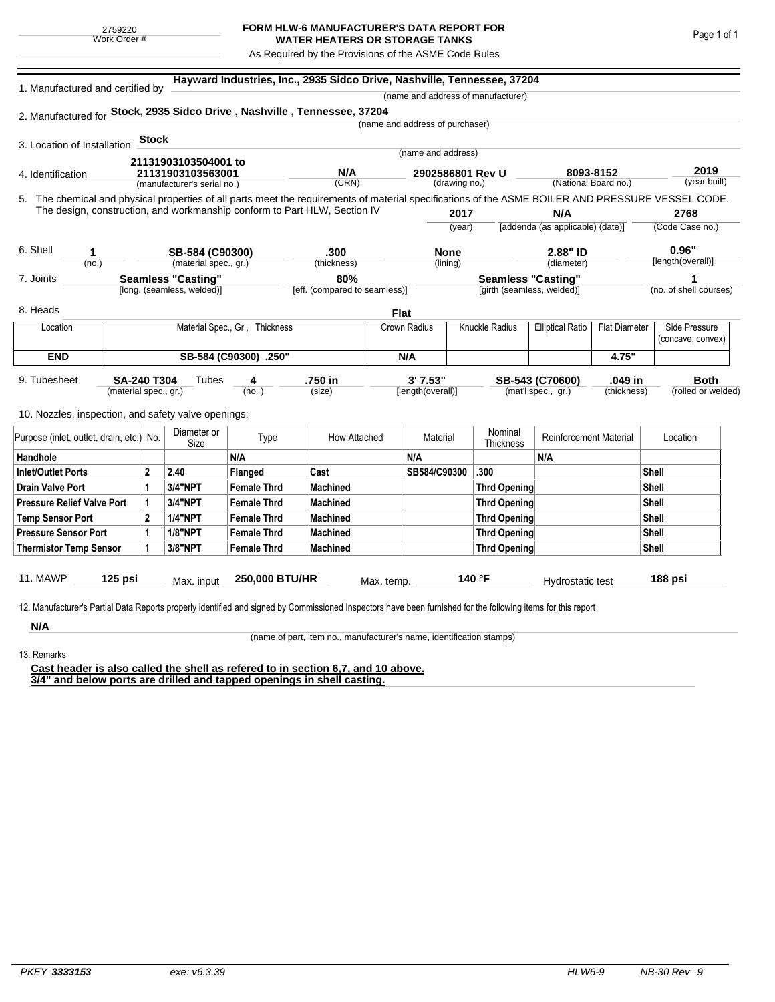## **FORM HLW-6 MANUFACTURER'S DATA REPORT FOR WATER HEATERS OR STORAGE TANKS**

As Required by the Provisions of the ASME Code Rules

| 1. Manufactured and certified by                                                                                                                   |                       |                                |                                                                           |                                | Hayward Industries, Inc., 2935 Sidco Drive, Nashville, Tennessee, 37204 |                                 |                                   |                                                         |                                   |                      |                        |
|----------------------------------------------------------------------------------------------------------------------------------------------------|-----------------------|--------------------------------|---------------------------------------------------------------------------|--------------------------------|-------------------------------------------------------------------------|---------------------------------|-----------------------------------|---------------------------------------------------------|-----------------------------------|----------------------|------------------------|
|                                                                                                                                                    |                       |                                |                                                                           |                                |                                                                         |                                 |                                   | (name and address of manufacturer)                      |                                   |                      |                        |
| 2. Manufactured for Stock, 2935 Sidco Drive, Nashville, Tennessee, 37204                                                                           |                       |                                |                                                                           |                                |                                                                         | (name and address of purchaser) |                                   |                                                         |                                   |                      |                        |
|                                                                                                                                                    |                       |                                |                                                                           |                                |                                                                         |                                 |                                   |                                                         |                                   |                      |                        |
| 3. Location of Installation                                                                                                                        |                       | <b>Stock</b>                   |                                                                           |                                |                                                                         |                                 | (name and address)                |                                                         |                                   |                      |                        |
|                                                                                                                                                    |                       |                                | 21131903103504001 to                                                      |                                |                                                                         |                                 |                                   |                                                         |                                   |                      |                        |
| 4. Identification                                                                                                                                  |                       |                                | 21131903103563001<br>(manufacturer's serial no.)                          |                                | N/A<br>(CRN)                                                            |                                 | 2902586801 Rev U<br>(drawing no.) |                                                         | 8093-8152<br>(National Board no.) |                      | 2019<br>(year built)   |
|                                                                                                                                                    |                       |                                |                                                                           |                                |                                                                         |                                 |                                   |                                                         |                                   |                      |                        |
| 5. The chemical and physical properties of all parts meet the requirements of material specifications of the ASME BOILER AND PRESSURE VESSEL CODE. |                       |                                | The design, construction, and workmanship conform to Part HLW, Section IV |                                |                                                                         |                                 | 2017                              |                                                         | N/A                               |                      | 2768                   |
|                                                                                                                                                    |                       |                                |                                                                           |                                |                                                                         |                                 | (year)                            |                                                         | [addenda (as applicable) (date)]  |                      | (Code Case no.)        |
|                                                                                                                                                    |                       |                                |                                                                           |                                |                                                                         |                                 |                                   |                                                         |                                   |                      |                        |
| 6. Shell<br>1                                                                                                                                      |                       |                                | SB-584 (C90300)                                                           |                                | .300                                                                    |                                 | <b>None</b>                       |                                                         | 2.88" ID                          |                      | 0.96"                  |
| (no.)                                                                                                                                              |                       |                                | (material spec., gr.)                                                     |                                | (thickness)                                                             |                                 | (lining)                          |                                                         | (diameter)                        |                      | [length(overall)]      |
| 7. Joints                                                                                                                                          |                       |                                | <b>Seamless "Casting"</b><br>[long. (seamless, welded)]                   |                                | 80%<br>[eff. (compared to seamless)]                                    |                                 |                                   | <b>Seamless "Casting"</b><br>[girth (seamless, welded)] |                                   |                      | (no. of shell courses) |
|                                                                                                                                                    |                       |                                |                                                                           |                                |                                                                         |                                 |                                   |                                                         |                                   |                      |                        |
| 8. Heads                                                                                                                                           |                       |                                |                                                                           |                                |                                                                         | <b>Flat</b>                     |                                   |                                                         |                                   |                      |                        |
| Location                                                                                                                                           |                       |                                |                                                                           | Material Spec., Gr., Thickness |                                                                         | Crown Radius                    |                                   | Knuckle Radius                                          | <b>Elliptical Ratio</b>           | <b>Flat Diameter</b> | Side Pressure          |
|                                                                                                                                                    |                       |                                |                                                                           |                                |                                                                         |                                 |                                   |                                                         |                                   |                      | (concave, convex)      |
| <b>END</b>                                                                                                                                         | SB-584 (C90300) .250" |                                |                                                                           |                                |                                                                         | N/A                             |                                   |                                                         |                                   | 4.75"                |                        |
| 9. Tubesheet                                                                                                                                       | <b>SA-240 T304</b>    |                                | Tubes                                                                     | 4                              | .750 in                                                                 |                                 | 3' 7.53"                          |                                                         | SB-543 (C70600)                   | .049 in              | <b>Both</b>            |
|                                                                                                                                                    |                       | (material spec., gr.)<br>(no.) |                                                                           |                                | (size)                                                                  |                                 | [length(overall)]                 |                                                         | (mat'l spec., gr.)                | (thickness)          | (rolled or welded)     |
|                                                                                                                                                    |                       |                                |                                                                           |                                |                                                                         |                                 |                                   |                                                         |                                   |                      |                        |
| 10. Nozzles, inspection, and safety valve openings:                                                                                                |                       |                                |                                                                           |                                |                                                                         |                                 |                                   |                                                         |                                   |                      |                        |
| Purpose (inlet, outlet, drain, etc.)  No.                                                                                                          |                       |                                | Diameter or<br>Size                                                       | Type                           | How Attached                                                            |                                 | Material                          | Nominal<br>Thickness                                    | <b>Reinforcement Material</b>     |                      | Location               |
| Handhole                                                                                                                                           |                       |                                |                                                                           | N/A                            |                                                                         | N/A                             |                                   |                                                         | N/A                               |                      |                        |
| <b>Inlet/Outlet Ports</b>                                                                                                                          |                       | $\mathbf{2}$                   | 2.40                                                                      | Flanged                        | Cast                                                                    |                                 | SB584/C90300                      | .300                                                    |                                   |                      | <b>Shell</b>           |
| <b>Drain Valve Port</b>                                                                                                                            |                       | 1                              | <b>3/4"NPT</b>                                                            | <b>Female Thrd</b>             | <b>Machined</b>                                                         |                                 |                                   | <b>Thrd Opening</b>                                     |                                   |                      | <b>Shell</b>           |
| <b>Pressure Relief Valve Port</b>                                                                                                                  |                       | 1                              | <b>3/4"NPT</b>                                                            | <b>Female Thrd</b>             | <b>Machined</b>                                                         |                                 |                                   | Thrd Opening                                            |                                   |                      | Shell                  |
| <b>Temp Sensor Port</b>                                                                                                                            |                       | $\mathbf 2$                    | <b>1/4"NPT</b>                                                            | <b>Female Thrd</b>             | <b>Machined</b>                                                         |                                 |                                   | <b>Thrd Opening</b>                                     |                                   |                      | <b>Shell</b>           |
| <b>Pressure Sensor Port</b>                                                                                                                        |                       | 1                              | <b>1/8"NPT</b>                                                            | <b>Female Thrd</b>             | <b>Machined</b>                                                         |                                 |                                   | Thrd Opening                                            |                                   |                      | <b>Shell</b>           |
| <b>Thermistor Temp Sensor</b>                                                                                                                      |                       | 1                              | 3/8"NPT                                                                   | <b>Female Thrd</b>             | <b>Machined</b>                                                         |                                 |                                   | <b>Thrd Opening</b>                                     |                                   |                      | Shell                  |
|                                                                                                                                                    |                       |                                |                                                                           |                                |                                                                         |                                 |                                   |                                                         |                                   |                      |                        |
| 11. MAWP                                                                                                                                           | 125 psi               |                                | Max. input                                                                | 250,000 BTU/HR                 |                                                                         | Max. temp.                      |                                   | 140 °F                                                  | Hydrostatic test                  |                      | 188 psi                |
|                                                                                                                                                    |                       |                                |                                                                           |                                |                                                                         |                                 |                                   |                                                         |                                   |                      |                        |

**N/A** 13. Remarks

(name of part, item no., manufacturer's name, identification stamps)

**Cast header is also called the shell as refered to in section 6,7, and 10 above. 3/4" and below ports are drilled and tapped openings in shell casting.**